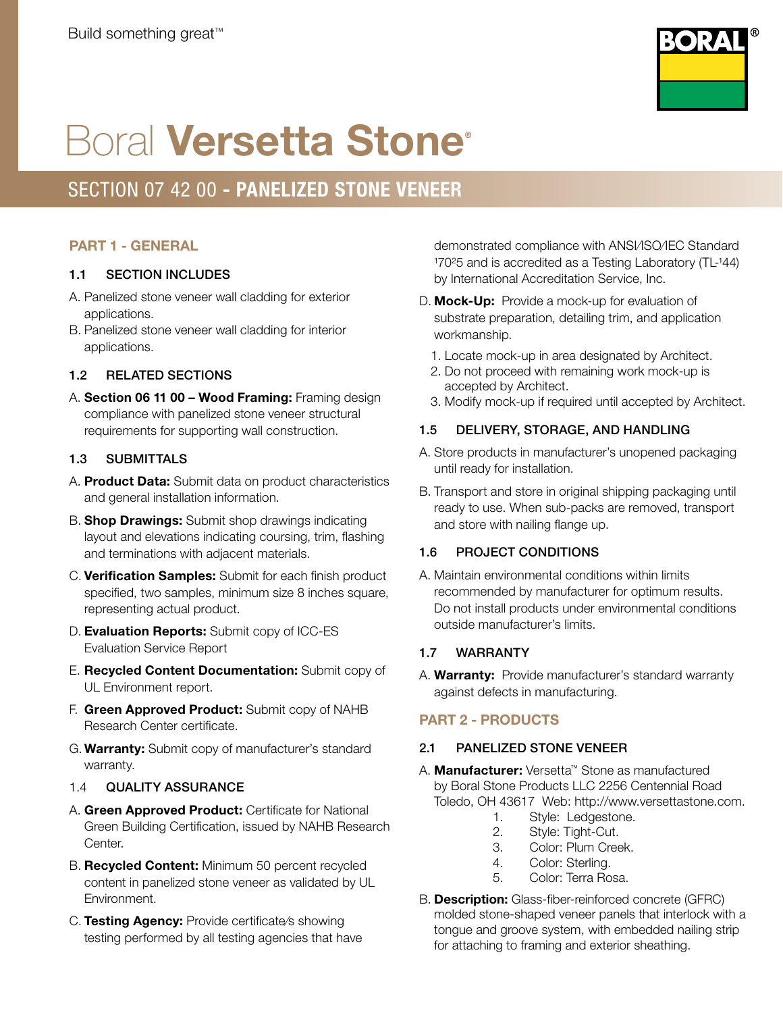

# **Boral Versetta Stone®**

## SECTION 07 42 00 - PANELIZED STONE VENEER

## PART 1 - GENERAL

## 1.1 SECTION INCLUDES

- A. Panelized stone veneer wall cladding for exterior applications.
- B. Panelized stone veneer wall cladding for interior applications.

## 1.2 RELATED SECTIONS

A. Section 06 11 00 – Wood Framing: Framing design compliance with panelized stone veneer structural requirements for supporting wall construction.

## 1.3 SUBMITTALS

- A. **Product Data:** Submit data on product characteristics and general installation information.
- B. Shop Drawings: Submit shop drawings indicating layout and elevations indicating coursing, trim, flashing and terminations with adjacent materials.
- C. Verification Samples: Submit for each finish product specified, two samples, minimum size 8 inches square, representing actual product.
- D. **Evaluation Reports:** Submit copy of ICC-ES Evaluation Service Report
- E. Recycled Content Documentation: Submit copy of UL Environment report.
- F. Green Approved Product: Submit copy of NAHB Research Center certificate.
- G.Warranty: Submit copy of manufacturer's standard warranty.
- 1.4 QUALITY ASSURANCE
- A. Green Approved Product: Certificate for National Green Building Certification, issued by NAHB Research Center.
- B. Recycled Content: Minimum 50 percent recycled content in panelized stone veneer as validated by UL Environment.
- C. Testing Agency: Provide certificate/s showing testing performed by all testing agencies that have

demonstrated compliance with ANSI/ISO/IEC Standard 17025 and is accredited as a Testing Laboratory (TL-144) by International Accreditation Service, Inc.

- D. Mock-Up: Provide a mock-up for evaluation of substrate preparation, detailing trim, and application workmanship.
	- 1. Locate mock-up in area designated by Architect.
	- 2. Do not proceed with remaining work mock-up is accepted by Architect.
	- 3. Modify mock-up if required until accepted by Architect.

## 1.5 DELIVERY, STORAGE, AND HANDLING

- A. Store products in manufacturer's unopened packaging until ready for installation.
- B. Transport and store in original shipping packaging until ready to use. When sub-packs are removed, transport and store with nailing flange up.

## 1.6 PROJECT CONDITIONS

A. Maintain environmental conditions within limits recommended by manufacturer for optimum results. Do not install products under environmental conditions outside manufacturer's limits.

## 1.7 WARRANTY

A. **Warranty:** Provide manufacturer's standard warranty against defects in manufacturing.

## PART 2 - PRODUCTS

## 2.1 PANELIZED STONE VENEER

- A. Manufacturer: Versetta™ Stone as manufactured by Boral Stone Products LLC 2256 Centennial Road Toledo, OH 43617 Web: http://www.versettastone.com.
	- 1. Style: Ledgestone.
	- 2. Style: Tight-Cut.
	- 3. Color: Plum Creek.
	- 4. Color: Sterling.
	- 5. Color: Terra Rosa.
- B. Description: Glass-fiber-reinforced concrete (GFRC) molded stone-shaped veneer panels that interlock with a tongue and groove system, with embedded nailing strip for attaching to framing and exterior sheathing.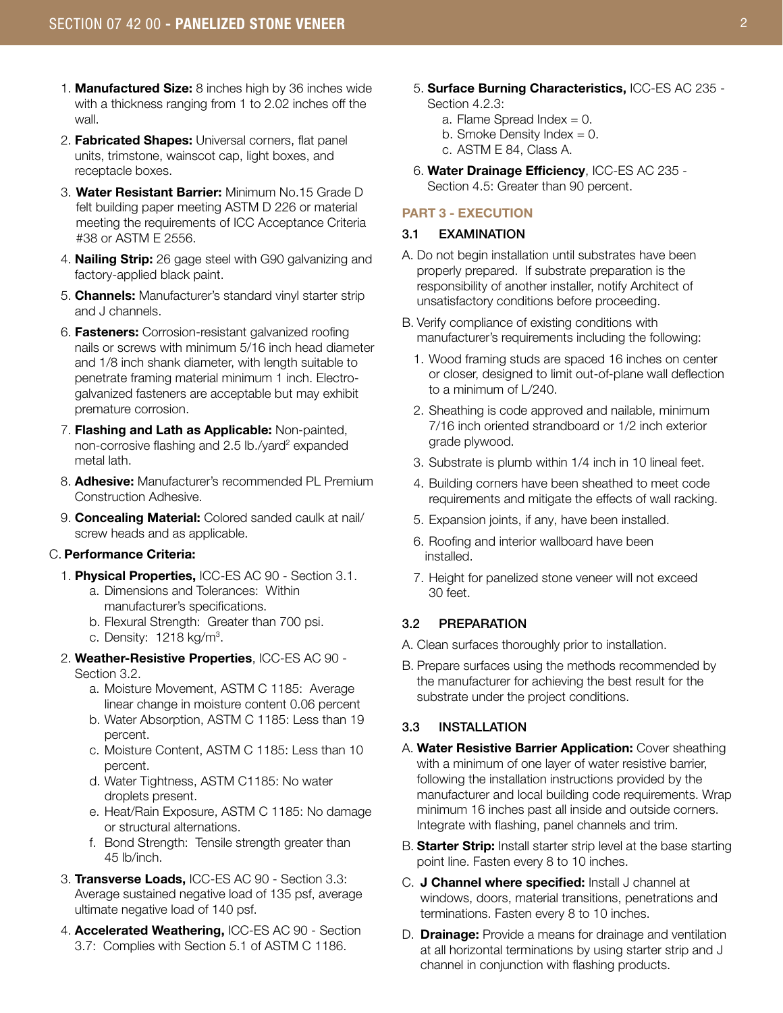- 1. Manufactured Size: 8 inches high by 36 inches wide with a thickness ranging from 1 to 2.02 inches off the wall.
- 2. Fabricated Shapes: Universal corners, flat panel units, trimstone, wainscot cap, light boxes, and receptacle boxes.
- 3. Water Resistant Barrier: Minimum No.15 Grade D felt building paper meeting ASTM D 226 or material meeting the requirements of ICC Acceptance Criteria #38 or ASTM E 2556.
- 4. Nailing Strip: 26 gage steel with G90 galvanizing and factory-applied black paint.
- 5. Channels: Manufacturer's standard vinyl starter strip and J channels.
- 6. Fasteners: Corrosion-resistant galvanized roofing nails or screws with minimum 5/16 inch head diameter and 1/8 inch shank diameter, with length suitable to penetrate framing material minimum 1 inch. Electrogalvanized fasteners are acceptable but may exhibit premature corrosion.
- 7. Flashing and Lath as Applicable: Non-painted, non-corrosive flashing and 2.5 lb./yard<sup>2</sup> expanded metal lath.
- 8. Adhesive: Manufacturer's recommended PL Premium Construction Adhesive.
- 9. **Concealing Material:** Colored sanded caulk at nail/ screw heads and as applicable.

#### C. Performance Criteria:

- 1. Physical Properties, ICC-ES AC 90 Section 3.1. a. Dimensions and Tolerances: Within
	- manufacturer's specifications. b. Flexural Strength: Greater than 700 psi.
	- c. Density:  $1218$  kg/m<sup>3</sup>.
- 2. Weather-Resistive Properties, ICC-ES AC 90 Section 3.2.
	- a. Moisture Movement, ASTM C 1185: Average linear change in moisture content 0.06 percent
	- b. Water Absorption, ASTM C 1185: Less than 19 percent.
	- c. Moisture Content, ASTM C 1185: Less than 10 percent.
	- d. Water Tightness, ASTM C1185: No water droplets present.
	- e. Heat/Rain Exposure, ASTM C 1185: No damage or structural alternations.
	- f. Bond Strength: Tensile strength greater than 45 lb/inch.
- 3. Transverse Loads, ICC-ES AC 90 Section 3.3: Average sustained negative load of 135 psf, average ultimate negative load of 140 psf.
- 4. Accelerated Weathering, ICC-ES AC 90 Section 3.7: Complies with Section 5.1 of ASTM C 1186.
- 5. Surface Burning Characteristics, ICC-ES AC 235 Section 4.2.3:
	- a. Flame Spread Index  $= 0$ .
	- b. Smoke Density Index  $= 0$ .
	- c. ASTM E 84, Class A.
- 6. Water Drainage Efficiency, ICC-ES AC 235 Section 4.5: Greater than 90 percent.

#### PART 3 - EXECUTION

#### 3.1 EXAMINATION

- A. Do not begin installation until substrates have been properly prepared. If substrate preparation is the responsibility of another installer, notify Architect of unsatisfactory conditions before proceeding.
- B. Verify compliance of existing conditions with manufacturer's requirements including the following:
	- 1. Wood framing studs are spaced 16 inches on center or closer, designed to limit out-of-plane wall deflection to a minimum of L/240.
	- 2. Sheathing is code approved and nailable, minimum 7/16 inch oriented strandboard or 1/2 inch exterior grade plywood.
	- 3. Substrate is plumb within 1/4 inch in 10 lineal feet.
	- 4. Building corners have been sheathed to meet code requirements and mitigate the effects of wall racking.
	- 5. Expansion joints, if any, have been installed.
	- 6. Roofing and interior wallboard have been installed.
	- 7. Height for panelized stone veneer will not exceed 30 feet.

#### 3.2 PREPARATION

- A. Clean surfaces thoroughly prior to installation.
- B. Prepare surfaces using the methods recommended by the manufacturer for achieving the best result for the substrate under the project conditions.

#### 3.3 INSTALLATION

- A. Water Resistive Barrier Application: Cover sheathing with a minimum of one layer of water resistive barrier, following the installation instructions provided by the manufacturer and local building code requirements. Wrap minimum 16 inches past all inside and outside corners. Integrate with flashing, panel channels and trim.
- B. Starter Strip: Install starter strip level at the base starting point line. Fasten every 8 to 10 inches.
- C. J Channel where specified: Install J channel at windows, doors, material transitions, penetrations and terminations. Fasten every 8 to 10 inches.
- D. **Drainage:** Provide a means for drainage and ventilation at all horizontal terminations by using starter strip and J channel in conjunction with flashing products.